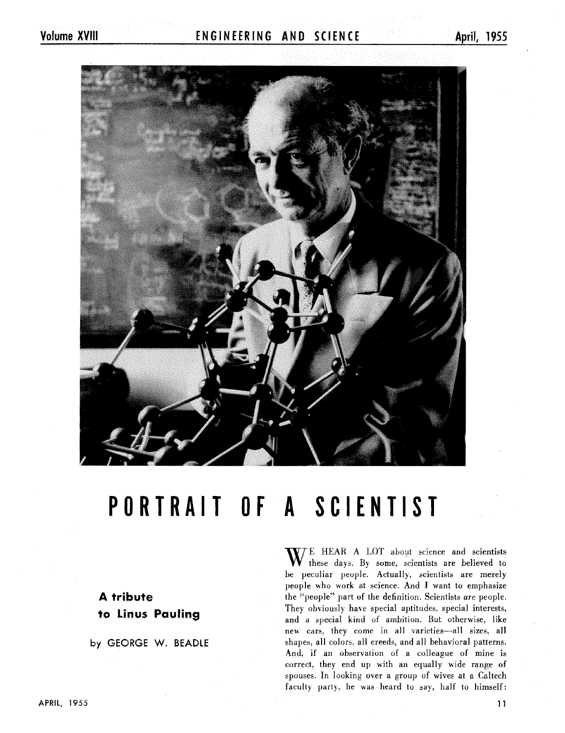### Volume XVIII **ENGINEERING AND SCIENCE** April, 1955

# **PORTRAIT OF A SCIENTIST**

## **A tribute**  to Linus Pauling

**by** GEORGE W. **BEADLE** 

E HEAR A LOT about science and scientists these days. By some, scientists are believed to be peculiar people. Actually, scientists are merely people who work at science. And I want to emphasize the "people" part of the definition. Scientists *are* people. They obviously have special aptitudes, special interests, and a special kind of ambition. But otherwise, like new cars, they come in all varieties-all sizes, all shapes, all colors. all creeds. and all behavioral patterns. And. if an observation of a colleague of mine is correct, they end up with an equally wide range of spouses. In looking over a group of wives at a Caltech faculty party, he was heard to say, half to himself: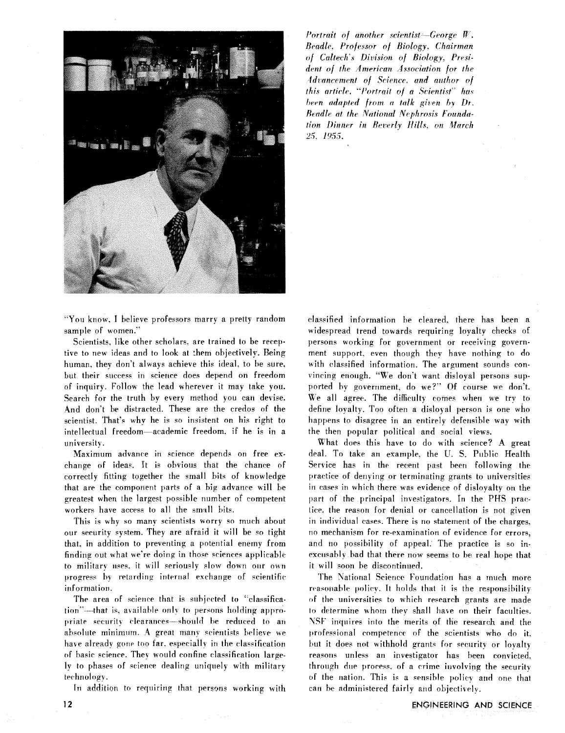

Portrait of another scientist-George  $W$ . Beadle, Professor of Biology, Chairman of Caltech's Division of Biology, President of the American Association for the Advancement of Science, and author of this article. "Portrait of a Scientist" has been adapted from a talk given by Dr. Beadle at the National Nephrosis Foundation Dinner in Beverly Hills, on March 25, 1955,

"You know, I believe professors marry a pretty random sample of women."

Scientists. like other scholars. are trained to be receptive to new ideas and to look at them objectively. Being human, they don't always achieve this ideal, to be sure, but their success in science does depend on freedom of inquiry. Follow the lead wherever it may take you. Search for the truth by every method you can devise. And don't be distracted. These are the credos of the scientist. That's why he is so insistent on his right to intellectual freedom-academic freedom. if he is in a university.

Maximum advance in science depends on free exchange of ideas. It is obvious that the chance of correctly fitting together the small bits of knowledge that are the component parts of a big advance will be greatest when the largest possible number of competent workers have access to all the amsill hits.

This is why so many scientists worry so much about our security system. They are afraid it will be so tight that. in addition to preventing a potential enemy from finding out what we're doing in those sciences applicable to military uses, it will seriously slow down our own progress hv retarding internal exchange of scientific information.

The area of science that is subjected to "classification"—that is, available only to persons holding appropriate security clearances—should be reduced to an absolute minimum. A great many scientists believe we have already gone too far, especially in the classification of basic science. Thev would confine classification largely to phases of science dealing uniquely with military technology.

In addition to requiring that persons working with

classified information be cleared, there has been a widespread trend towards requiring loyalty checks of persons working for government or receiving government support, even though they have nothing to do with classified information. The argument sounds conwincing enough. "'We don't want disloyal persons supported by government, do we?' Of course we don't. We all agree. The difficulty comes when we try to define loyalty. Too often a disloyal person is one who happens to disagree in an entirely defensible way with the then popular political and social views.

What does this have to do with science? A great deal. To take an example. the U. S. Public Health Service has in the recent past been following the practice of denying or terminating grants to universities in cases in which there was evidence of disloyalty on the part of the principal investigators. In the PHS practice. the reason for denial or cancellation is not given in individual cases. There is no statement of the charges, no mechanism for re-examination of evidence for errors, and no possibility of appeal. The practice is so inexcusably had that there now seems to be real hope that it will soon be discontinued.

The National Science Foundation has a much more reasonable policy. It holds that it is the responsibility **of** the universities to which research grants are made to determine whom they shall have on their faculties. NSF inquires into the merits of the research and the professional competence of the scientists who do it. but it does not withhold grants for security or loyalty reasons unless an investigator has been convicted. through due proceqs. **of** a crime involving the security of the nation. This is a sensible policy and one that can be administered fairly and objectively.

 $12$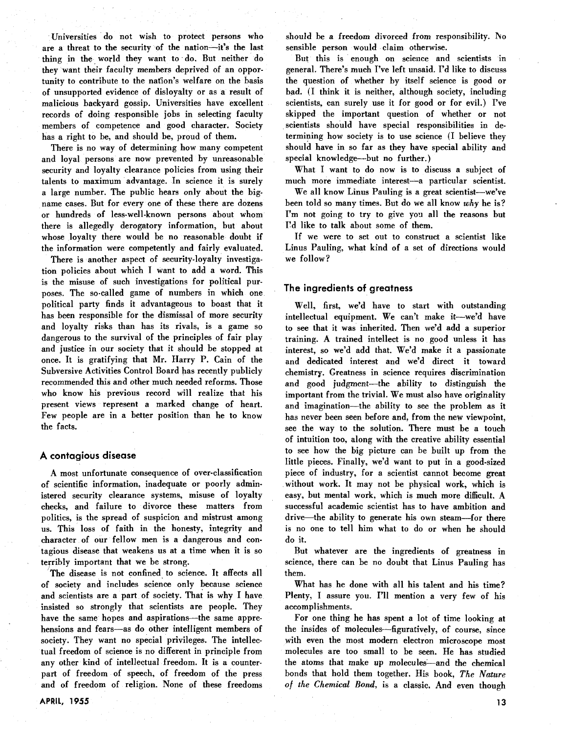Universities do not wish to protect persons who are a threat to the security of the nation-it's the last thing in the, world they want to do. But neither do they want their faculty members deprived of an opportunity to contribute to the nation's welfare on the basis of unsupported evidence of disloyalty or as a result of malicious backyard gossip. Universities have excellent records of doing responsible jobs in selecting faculty members of competence and good character. Society has a right to be, and should be, proud of them.

There is no way of determining how many competent and loyal persons are now prevented by unreasonable security and loyalty clearance policies from using their talents to maximum advantage. In science it is surely a large number. The public hears only about the bigname cases. But for every one of these there are dozens or hundreds of less-well-known persons about whom there is allegedly derogatory information, but about whose loyalty there would be no reasonable doubt if the information were competently and fairly evaluated.

There is another aspect of security-loyalty investigation policies about which I want to add a word. This is the misuse of such investigations for political purposes. The so-called game of numbers in which one political party finds it advantageous to boast that it has been responsible for the dismissal of more security and loyalty risks than has its rivals, is a game so dangerous to the survival of the principles of fair play and justice in our society that it should be stopped at once. It is gratifying that Mr. Harry P. Gain of the Subversive Activities Control Board has recently publicly recommended this and other much needed reforms. Those who know his previous record will realize that his present views represent a marked change of heart. Few people are in a better position than he to know the facts.

#### **A contagious disease**

A most unfortunate consequence of over-classification of scientific information, inadequate or poorly administered security clearance systems, misuse of loyalty checks, and failure to divorce these matters from politics, is the spread of suspicion and mistrust among us. This loss of faith in the honesty, integrity and character of our fellow men is a dangerous and contagious disease that weakens us at a time when it is so terribly important that we be strong.

The disease is not confined to science. It affects all of society and includes science only because science and scientists are a part of society. That is why I have insisted so strongly that scientists are people. They have the same hopes and aspirations—the same apprehensions and fears-as do other intelligent members of society. They want no special privileges. The intellectual freedom of science is no different in principle from any other kind of intellectual freedom. It is a counterpart of freedom of speech, of freedom of the press and of freedom of religion. None of these freedoms should be a freedom divorced from responsibility. **ho**  sensible person would claim otherwise.

But this is enough on science and scientists in general. There's much I've left unsaid. I'd like to discuss the question of whether by itself science is good or bad. (I think it is neither, although society, including scientists, can surely use it for good or for evil.) I've skipped the important question of whether or not scientists should have special responsibilities in determining how society is to use science (I believe they should have in so far as they have special ability and special knowledge-but no further.)

What I want to do now is to discuss a subject of much more immediate interest-a particular scientist.

We all know Linus Pauling is a great scientist-we've been told so many times. But do we all know why he is? I'm not going to try to give you all the reasons but I'd like to talk about some of them.

If we were to set out to construct a scientist like Linus Pauling, what kind of a set of directions would we follow?

#### **The ingredients of greatness**

Well, first, we'd have to start with outstanding intellectual equipment. We can't make it-we'd have to see that it was inherited. Then we'd add a superior training. A trained intellect is no good unless it has interest, so we'd add that. We'd make it a passionate and dedicated interest and we'd direct it toward chemistry. Greatness in science requires discrimination and good judgment-the ability to distinguish the important from the trivial. We must also have originality and imagination-the ability to see the problem as it has never been seen before and, from the new viewpoint, see the way to the solution. There must be a touch of intuition too, along with the creative ability essential to see how the big picture can be built up from the little pieces. Finally, we'd want to put in a good-sized piece of industry, for a scientist cannot become great without work. It may not be physical work, which is easy, but mental work, which is much more difficult. A successful academic scientist has to have ambition and drive-the ability to generate his own steam-for there is no one to tell him what to do or when he should do it.

But whatever are the ingredients of greatness in science, there can be no doubt that Linus Pauling has them.

What has he done with all his talent and his time? Plenty, I assure you. I'll mention a very few of his accomplishments.

For one thing he has spent a lot of time looking at the insides of molecules-figuratively, of course, since with even the most modern electron microscope most molecules are too small to be seen. He has studied the atoms that make up molecules-and the chemical bonds that hold them together. His book, The Nature *of the Chemical Bond,* is a classic. And even though